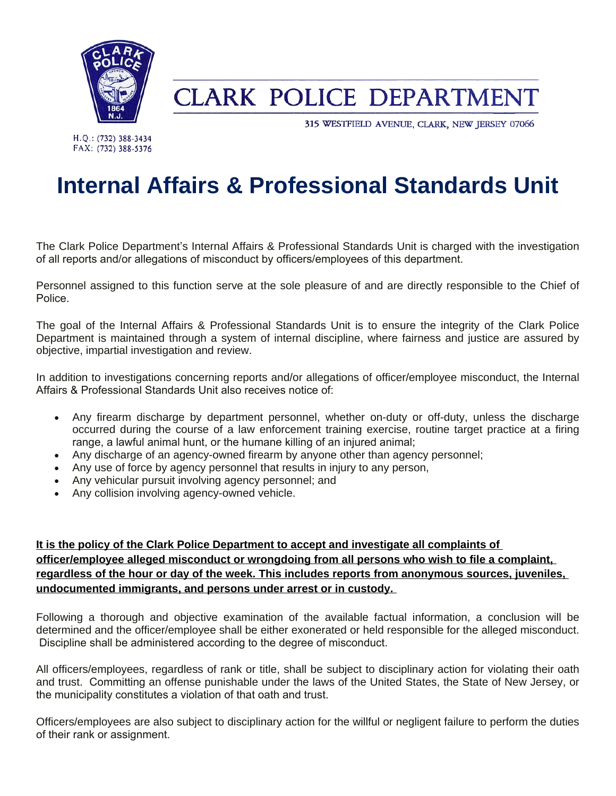

## **CLARK POLICE DEPARTMENT**

315 WESTFIELD AVENUE, CLARK, NEW JERSEY 07066

H.Q.: (732) 388-3434 FAX: (732) 388-5376

## **Internal Affairs & Professional Standards Unit**

The Clark Police Department's Internal Affairs & Professional Standards Unit is charged with the investigation of all reports and/or allegations of misconduct by officers/employees of this department.

Personnel assigned to this function serve at the sole pleasure of and are directly responsible to the Chief of Police.

The goal of the Internal Affairs & Professional Standards Unit is to ensure the integrity of the Clark Police Department is maintained through a system of internal discipline, where fairness and justice are assured by objective, impartial investigation and review.

In addition to investigations concerning reports and/or allegations of officer/employee misconduct, the Internal Affairs & Professional Standards Unit also receives notice of:

- Any firearm discharge by department personnel, whether on-duty or off-duty, unless the discharge occurred during the course of a law enforcement training exercise, routine target practice at a firing range, a lawful animal hunt, or the humane killing of an injured animal;
- Any discharge of an agency-owned firearm by anyone other than agency personnel;
- Any use of force by agency personnel that results in injury to any person,
- Any vehicular pursuit involving agency personnel; and
- Any collision involving agency-owned vehicle.

## **It is the policy of the Clark Police Department to accept and investigate all complaints of officer/employee alleged misconduct or wrongdoing from all persons who wish to file a complaint, regardless of the hour or day of the week. This includes reports from anonymous sources, juveniles, undocumented immigrants, and persons under arrest or in custody.**

Following a thorough and objective examination of the available factual information, a conclusion will be determined and the officer/employee shall be either exonerated or held responsible for the alleged misconduct. Discipline shall be administered according to the degree of misconduct.

All officers/employees, regardless of rank or title, shall be subject to disciplinary action for violating their oath and trust. Committing an offense punishable under the laws of the United States, the State of New Jersey, or the municipality constitutes a violation of that oath and trust.

Officers/employees are also subject to disciplinary action for the willful or negligent failure to perform the duties of their rank or assignment.